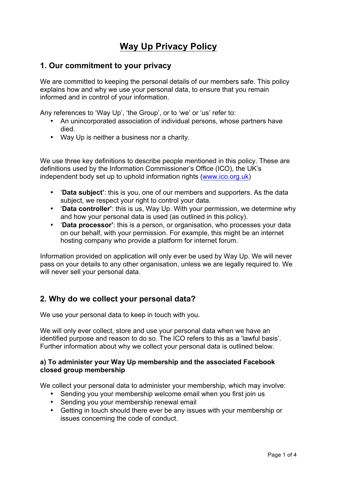# **Way Up Privacy Policy**

# **1. Our commitment to your privacy**

We are committed to keeping the personal details of our members safe. This policy explains how and why we use your personal data, to ensure that you remain informed and in control of your information.

Any references to 'Way Up', 'the Group', or to 'we' or 'us' refer to:

- An unincorporated association of individual persons, whose partners have died.
- Way Up is neither a business nor a charity.

We use three key definitions to describe people mentioned in this policy. These are definitions used by the Information Commissioner's Office (ICO), the UK's independent body set up to uphold information rights (www.ico.org.uk)

- '**Data subject'**: this is you, one of our members and supporters. As the data subject, we respect your right to control your data.
- '**Data controller'**: this is us, Way Up. With your permission, we determine why and how your personal data is used (as outlined in this policy).
- '**Data processor'**: this is a person, or organisation, who processes your data on our behalf, with your permission. For example, this might be an internet hosting company who provide a platform for internet forum.

Information provided on application will only ever be used by Way Up. We will never pass on your details to any other organisation, unless we are legally required to. We will never sell your personal data.

# **2. Why do we collect your personal data?**

We use your personal data to keep in touch with you.

We will only ever collect, store and use your personal data when we have an identified purpose and reason to do so. The ICO refers to this as a 'lawful basis'. Further information about why we collect your personal data is outlined below.

#### **a) To administer your Way Up membership and the associated Facebook closed group membership**

We collect your personal data to administer your membership, which may involve:

- Sending you your membership welcome email when you first join us
- Sending you your membership renewal email
- Getting in touch should there ever be any issues with your membership or issues concerning the code of conduct.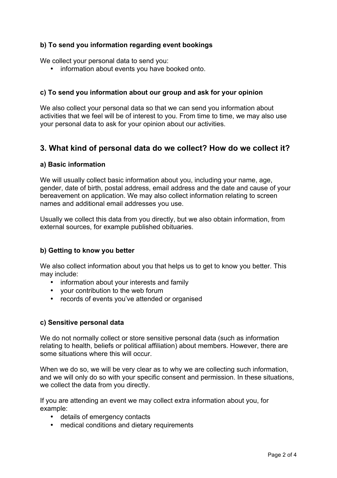### **b) To send you information regarding event bookings**

We collect your personal data to send you:

• information about events you have booked onto.

### **c) To send you information about our group and ask for your opinion**

We also collect your personal data so that we can send you information about activities that we feel will be of interest to you. From time to time, we may also use your personal data to ask for your opinion about our activities.

# **3. What kind of personal data do we collect? How do we collect it?**

#### **a) Basic information**

We will usually collect basic information about you, including your name, age, gender, date of birth, postal address, email address and the date and cause of your bereavement on application. We may also collect information relating to screen names and additional email addresses you use.

Usually we collect this data from you directly, but we also obtain information, from external sources, for example published obituaries.

### **b) Getting to know you better**

We also collect information about you that helps us to get to know you better. This may include:

- information about your interests and family
- your contribution to the web forum
- records of events you've attended or organised

#### **c) Sensitive personal data**

We do not normally collect or store sensitive personal data (such as information relating to health, beliefs or political affiliation) about members. However, there are some situations where this will occur.

When we do so, we will be very clear as to why we are collecting such information, and we will only do so with your specific consent and permission. In these situations, we collect the data from you directly.

If you are attending an event we may collect extra information about you, for example:

- details of emergency contacts
- medical conditions and dietary requirements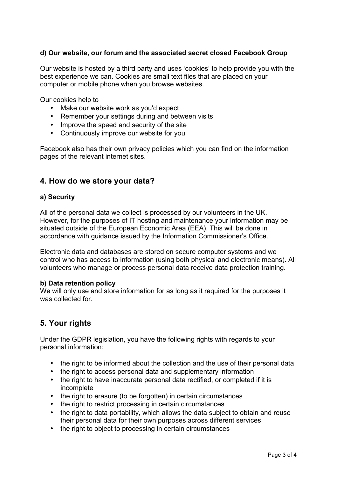### **d) Our website, our forum and the associated secret closed Facebook Group**

Our website is hosted by a third party and uses 'cookies' to help provide you with the best experience we can. Cookies are small text files that are placed on your computer or mobile phone when you browse websites.

Our cookies help to

- Make our website work as you'd expect
- Remember your settings during and between visits
- Improve the speed and security of the site
- Continuously improve our website for you

Facebook also has their own privacy policies which you can find on the information pages of the relevant internet sites.

### **4. How do we store your data?**

#### **a) Security**

All of the personal data we collect is processed by our volunteers in the UK. However, for the purposes of IT hosting and maintenance your information may be situated outside of the European Economic Area (EEA). This will be done in accordance with guidance issued by the Information Commissioner's Office.

Electronic data and databases are stored on secure computer systems and we control who has access to information (using both physical and electronic means). All volunteers who manage or process personal data receive data protection training.

#### **b) Data retention policy**

We will only use and store information for as long as it required for the purposes it was collected for.

# **5. Your rights**

Under the GDPR legislation, you have the following rights with regards to your personal information:

- the right to be informed about the collection and the use of their personal data
- the right to access personal data and supplementary information
- the right to have inaccurate personal data rectified, or completed if it is incomplete
- the right to erasure (to be forgotten) in certain circumstances
- the right to restrict processing in certain circumstances
- the right to data portability, which allows the data subject to obtain and reuse their personal data for their own purposes across different services
- the right to object to processing in certain circumstances